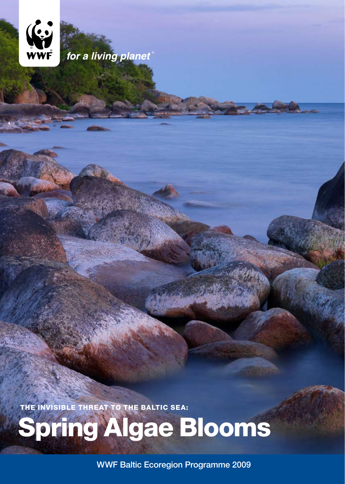

for a living planet

THE INVISIBLE THREAT TO THE BALTIC SEA:

Spring Algae Blooms

WWF Baltic Ecoregion Programme 2009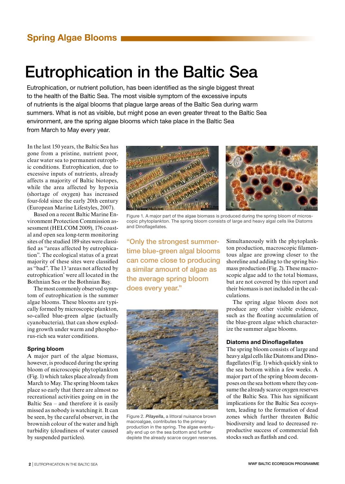# Eutrophication in the Baltic Sea

Eutrophication, or nutrient pollution, has been identified as the single biggest threat to the health of the Baltic Sea. The most visible symptom of the excessive inputs of nutrients is the algal blooms that plague large areas of the Baltic Sea during warm summers. What is not as visible, but might pose an even greater threat to the Baltic Sea environment, are the spring algae blooms which take place in the Baltic Sea from March to May every year.

In the last 150 years, the Baltic Sea has gone from a pristine, nutrient poor, clear water sea to permanent eutrophic conditions. Eutrophication, due to excessive inputs of nutrients, already affects a majority of Baltic biotopes, while the area affected by hypoxia (shortage of oxygen) has increased four-fold since the early 20th century (European Marine Lifestyles, 2007).

Based on a recent Baltic Marine Environment Protection Commission assessment (HELCOM 2009), 176 coastal and open sea long-term monitoring sites of the studied 189 sites were classified as "areas affected by eutrophication". The ecological status of a great majority of these sites were classified as "bad". The 13 'areas not affected by eutrophication' were all located in the Bothnian Sea or the Bothnian Bay.

The most commonly observed symptom of eutrophication is the summer algae blooms. These blooms are typically formed by microscopic plankton, so-called blue-green algae (actually cyanobacteria), that can show exploding growth under warm and phosphorus-rich sea water conditions.

### Spring bloom

A major part of the algae biomass, however, is produced during the spring bloom of microscopic phytoplankton (Fig. 1) which takes place already from March to May. The spring bloom takes place so early that there are almost no recreational activities going on in the Baltic Sea – and therefore it is easily missed as nobody is watching it. It can be seen, by the careful observer, in the brownish colour of the water and high turbidity (cloudiness of water caused by suspended particles).



Figure 1. A major part of the algae biomass is produced during the spring bloom of microscopic phytoplankton. The spring bloom consists of large and heavy algal cells like Diatoms and Dinoflagellates.

"Only the strongest summertime blue-green algal blooms can come close to producing a similar amount of algae as the average spring bloom does every year."



Figure 2. *Pilayella*, a littoral nuisance brown macroalgae, contributes to the primary production in the spring. The algae eventually end up on the sea bottom and further deplete the already scarce oxygen reserves.

Simultaneously with the phytoplankton production, macroscopic filamentous algae are growing closer to the shoreline and adding to the spring biomass production (Fig. 2). These macroscopic algae add to the total biomass, but are not covered by this report and their biomass is not included in the calculations.

The spring algae bloom does not produce any other visible evidence, such as the floating accumulation of the blue-green algae which characterize the summer algae blooms.

### Diatoms and Dinoflagellates

The spring bloom consists of large and heavy algal cells like Diatoms and Dinoflagellates (Fig. 1) which quickly sink to the sea bottom within a few weeks. A major part of the spring bloom decomposes on the sea bottom where they consume the already scarce oxygen reserves of the Baltic Sea. This has significant implications for the Baltic Sea ecosystem, leading to the formation of dead zones which further threaten Baltic biodiversity and lead to decreased reproductive success of commercial fish stocks such as flatfish and cod.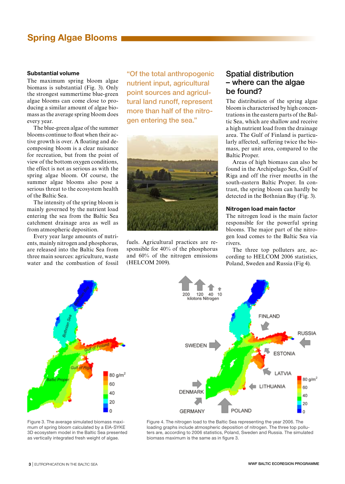### Substantial volume

The maximum spring bloom algae biomass is substantial (Fig. 3). Only the strongest summertime blue-green algae blooms can come close to producing a similar amount of algae biomass as the average spring bloom does every year.

The blue-green algae of the summer blooms continue to float when their active growth is over. A floating and decomposing bloom is a clear nuisance for recreation, but from the point of view of the bottom oxygen conditions, the effect is not as serious as with the spring algae bloom. Of course, the summer algae blooms also pose a serious threat to the ecosystem health of the Baltic Sea.

The intensity of the spring bloom is mainly governed by the nutrient load entering the sea from the Baltic Sea catchment drainage area as well as from atmospheric deposition.

Every year large amounts of nutrients, mainly nitrogen and phosphorus, are released into the Baltic Sea from three main sources: agriculture, waste water and the combustion of fossil

"Of the total anthropogenic nutrient input, agricultural point sources and agricultural land runoff, represent more than half of the nitrogen entering the sea."



fuels. Agricultural practices are responsible for 40% of the phosphorus and 60% of the nitrogen emissions (HELCOM 2009).

### Spatial distribution – where can the algae be found?

The distribution of the spring algae bloom is characterised by high concentrations in the eastern parts of the Baltic Sea, which are shallow and receive a high nutrient load from the drainage area. The Gulf of Finland is particularly affected, suffering twice the biomass, per unit area, compared to the Baltic Proper.

Areas of high biomass can also be found in the Archipelago Sea, Gulf of Riga and off the river mouths in the south-eastern Baltic Proper. In contrast, the spring bloom can hardly be detected in the Bothnian Bay (Fig. 3).

### Nitrogen load main factor

The nitrogen load is the main factor responsible for the powerful spring blooms. The major part of the nitrogen load comes to the Baltic Sea via rivers.

The three top polluters are, according to HELCOM 2006 statistics, Poland, Sweden and Russia (Fig 4).



Figure 3. The average simulated biomass maximum of spring bloom calculated by a EIA-SYKE 3D ecosystem model in the Baltic Sea presented as vertically integrated fresh weight of algae.



Figure 4. The nitrogen load to the Baltic Sea representing the year 2006. The loading graphs include atmospheric deposition of nitrogen. The three top polluters are, according to 2006 statistics, Poland, Sweden and Russia. The simulated biomass maximum is the same as in figure 3.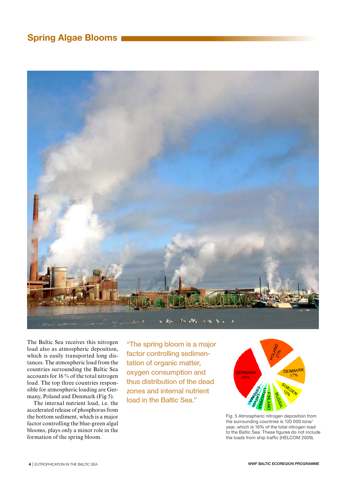

The Baltic Sea receives this nitrogen load also as atmospheric deposition, which is easily transported long distances. The atmospheric load from the countries surrounding the Baltic Sea accounts for 16 % of the total nitrogen load. The top three countries responsible for atmospheric loading are Germany, Poland and Denmark (Fig 5).

The internal nutrient load, i.e. the accelerated release of phosphorus from the bottom sediment, which is a major factor controlling the blue-green algal blooms, plays only a minor role in the formation of the spring bloom.

"The spring bloom is a major factor controlling sedimentation of organic matter, oxygen consumption and thus distribution of the dead zones and internal nutrient load in the Baltic Sea."



Fig. 5 Atmospheric nitrogen deposition from the surrounding countries is 120 000 tons/ year, which is 16% of the total nitrogen load to the Baltic Sea. These figures do not include the loads from ship traffic (HELCOM 2009).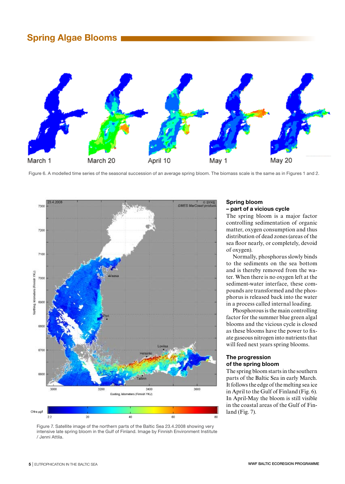

Figure 6. A modelled time series of the seasonal succession of an average spring bloom. The biomass scale is the same as in Figures 1 and 2.



Figure 7. Satellite image of the northern parts of the Baltic Sea 23.4.2008 showing very intensive late spring bloom in the Gulf of Finland. Image by Finnish Environment Institute / Jenni Attila.

### Spring bloom – part of a vicious cycle

The spring bloom is a major factor controlling sedimentation of organic matter, oxygen consumption and thus distribution of dead zones (areas of the sea floor nearly, or completely, devoid of oxygen).

Normally, phosphorus slowly binds to the sediments on the sea bottom and is thereby removed from the water. When there is no oxygen left at the sediment-water interface, these compounds are transformed and the phosphorus is released back into the water in a process called internal loading.

Phosphorous is the main controlling factor for the summer blue green algal blooms and the vicious cycle is closed as these blooms have the power to fixate gaseous nitrogen into nutrients that will feed next years spring blooms.

### The progression of the spring bloom

The spring bloom starts in the southern parts of the Baltic Sea in early March. It follows the edge of the melting sea ice in April to the Gulf of Finland (Fig. 6). In April-May the bloom is still visible in the coastal areas of the Gulf of Finland (Fig. 7).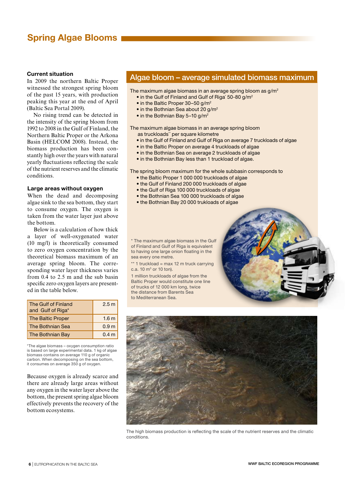### Current situation

In 2009 the northern Baltic Proper witnessed the strongest spring bloom of the past 15 years, with production peaking this year at the end of April (Baltic Sea Portal 2009).

No rising trend can be detected in the intensity of the spring bloom from 1992 to 2008 in the Gulf of Finland, the Northern Baltic Proper or the Arkona Basin (HELCOM 2008). Instead, the biomass production has been constantly high over the years with natural yearly fluctuations reflecting the scale of the nutrient reserves and the climatic conditions.

#### Large areas without oxygen

When the dead and decomposing algae sink to the sea bottom, they start to consume oxygen. The oxygen is taken from the water layer just above the bottom.

Below is a calculation of how thick a layer of well-oxygenated water (10 mg/l) is theoretically consumed to zero oxygen concentration by the theoretical biomass maximum of an average spring bloom. The corresponding water layer thickness varies from 0.4 to 2.5 m and the sub basin specific zero oxygen layers are presented in the table below.

| The Gulf of Finland<br>and Gulf of Riga* | 2.5 <sub>m</sub> |
|------------------------------------------|------------------|
| The Baltic Proper                        | 1.6 <sub>m</sub> |
| The Bothnian Sea                         | 0.9 <sub>m</sub> |
| The Bothnian Bay                         | 0.4 <sub>m</sub> |

\*The algae biomass – oxygen consumption ratio is based on large experimental data. 1 kg of algae biomass contains on average 110 g of organic carbon. When decomposing on the sea bottom, it consumes on average 350 g of oxygen.

Because oxygen is already scarce and there are already large areas without any oxygen in the water layer above the bottom, the present spring algae bloom effectively prevents the recovery of the bottom ecosystems.

### Algae bloom – average simulated biomass maximum

The maximum algae biomass in an average spring bloom as  $g/m^2$ 

- in the Gulf of Finland and Gulf of Riga\*  $50$ -80 g/m<sup>2</sup>
	- in the Baltic Proper 30-50 g/m<sup>2</sup>
	- in the Bothnian Sea about 20 g/m<sup>2</sup>
	- in the Bothnian Bay 5-10 g/m<sup>2</sup>

The maximum algae biomass in an average spring bloom as truckloads\*\* per square kilometre

- in the Gulf of Finland and Gulf of Riga on average 7 truckloads of algae
- in the Baltic Proper on average 4 truckloads of algae
- in the Bothnian Sea on average 2 truckloads of algae
- in the Bothnian Bay less than 1 truckload of algae.

The spring bloom maximum for the whole subbasin corresponds to

- the Baltic Proper 1 000 000 truckloads of algae
- the Gulf of Finland 200 000 truckloads of algae
- the Gulf of Riga 100 000 truckloads of algae
- the Bothnian Sea 100 000 truckloads of algae
- the Bothnian Bay 20 000 trukloads of algae

\* The maximum algae biomass in the Gulf of Finland and Gulf of Riga is equivalent to having one large onion floating in the sea every one metre.

 $**$  1 truckload = max 12 m truck carrying c.a. 10  $m^3$  or 10 ton).

1 million truckloads of algae from the Baltic Proper would constitute one line of trucks of 12 000 km long, twice the distance from Barents Sea to Mediterranean Sea.





The high biomass production is reflecting the scale of the nutrient reserves and the climatic conditions.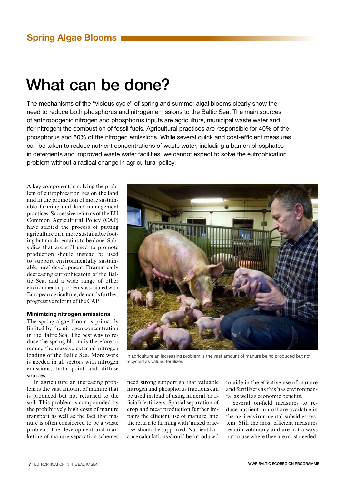# What can be done?

The mechanisms of the "vicious cycle" of spring and summer algal blooms clearly show the need to reduce both phosphorus and nitrogen emissions to the Baltic Sea. The main sources of anthropogenic nitrogen and phosphorus inputs are agriculture, municipal waste water and (for nitrogen) the combustion of fossil fuels. Agricultural practices are responsible for 40% of the phosphorus and 60% of the nitrogen emissions. While several quick and cost-efficient measures can be taken to reduce nutrient concentrations of waste water, including a ban on phosphates in detergents and improved waste water facilities, we cannot expect to solve the eutrophication problem without a radical change in agricultural policy.

A key component in solving the problem of eutrophication lies on the land and in the promotion of more sustainable farming and land management practices. Successive reforms of the EU Common Agricultural Policy (CAP) have started the process of putting agriculture on a more sustainable footing but much remains to be done. Subsidies that are still used to promote production should instead be used to support environmentally sustainable rural development. Dramatically decreasing eutrophicatoin of the Baltic Sea, and a wide range of other environmental problems associated with European agriculture, demands further, progressive reform of the CAP.

### Minimizing nitrogen emissions

The spring algae bloom is primarily limited by the nitrogen concentration in the Baltic Sea. The best way to reduce the spring bloom is therefore to reduce the massive external nitrogen loading of the Baltic Sea. More work is needed in all sectors with nitrogen emissions, both point and diffuse sources.

In agriculture an increasing problem is the vast amount of manure that is produced but not returned to the soil. This problem is compounded by the prohibitively high costs of manure transport as well as the fact that manure is often considered to be a waste problem. The development and marketing of manure separation schemes



In agriculture an increasing problem is the vast amount of manure being produced but not recycled as valued fertilizer.

need strong support so that valuable nitrogen and phosphorus fractions can be used instead of using mineral (artificial) fertilizers. Spatial separation of crop and meat production further impairs the efficient use of manure, and the return to farming with 'mixed practise' should be supported. Nutrient balance calculations should be introduced

to aide in the effective use of manure and fertilizers as this has environmental as well as economic benefits.

Several on-field measures to reduce nutrient run-off are available in the agri-environmental subsidies system. Still the most efficient measures remain voluntary and are not always put to use where they are most needed.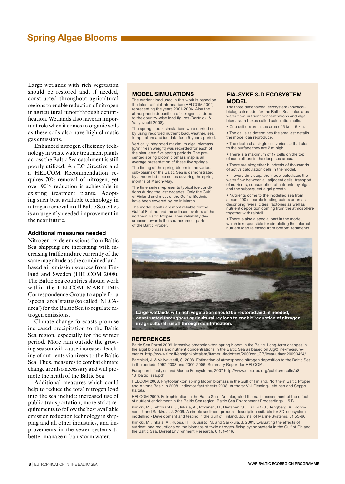Large wetlands with rich vegetation should be restored and, if needed, constructed throughout agricultural regions to enable reduction of nitrogen in agricultural runoff through denitrification. Wetlands also have an important role when it comes to organic soils as these soils also have high climatic gas emissions.

Enhanced nitrogen efficiency technology in waste water treatment plants across the Baltic Sea catchment is still poorly utilized. An EC directive and a HELCOM Recommendation requires 70% removal of nitrogen, yet over 90% reduction is achievable in existing treatment plants. Adopting such best available technology in nitrogen removal in all Baltic Sea cities is an urgently needed improvement in the near future.

#### Additional measures needed

Nitrogen oxide emissions from Baltic Sea shipping are increasing with increasing traffic and are currently of the same magnitude as the combined landbased air emission sources from Finland and Sweden (HELCOM 2008). The Baltic Sea countries should work within the HELCOM MARITIME Correspondence Group to apply for a 'special area' status (so called 'NECAarea') for the Baltic Sea to regulate nitrogen emissions.

Climate change forecasts promise increased precipitation to the Baltic Sea region, especially for the winter period. More rain outside the growing season will cause increased leaching of nutrients via rivers to the Baltic Sea. Thus, measures to combat climate change are also necessary and will promote the heath of the Baltic Sea.

Additional measures which could help to reduce the total nitrogen load into the sea include: increased use of public transportation, more strict requirements to follow the best available emission reduction technology in shipping and all other industries, and improvements in the sewer systems to better manage urban storm water.

#### Model simulations

The nutrient load used in this work is based on the latest official information (HELCOM 2009) representing the years 2001-2006. Also the atmospheric deposition of nitrogen is added to the country-wise load figures (Bartnicki & Valiyaveetil 2008).

The spring bloom simulations were carried out by using recorded nutrient load, weather, sea temperature and ice data for a 5-years-period.

Vertically integrated maximum algal biomass [g/m2 fresh weight] was recorded for each of the simulated five spring periods. The presented spring bloom biomass map is an average presentation of these five springs.

The timing of the spring bloom in the various sub-basins of the Baltic Sea is demonstrated by a recorded time series covering the spring months of March-May.

The time series represents typical ice conditions during the last decades. Only the Gulf of Finland and most of the Gulf of Bothnia have been covered by ice in March.

The model results are most reliable for the Gulf of Finland and the adjacent waters of the northern Baltic Proper. Their reliability decreases towards the southernmost parts of the Baltic Proper.

#### EIA-syke 3-D ecosystem **MODEL**

The three dimensional ecosystem (physicalbiological) model for the Baltic Sea calculates water flow, nutrient concentrations and algal biomass in boxes called calculation cells.

- One cell covers a sea area of 5 km \* 5 km.
- The cell size determines the smallest details the model can reproduce.
- The depth of a single cell varies so that close to the surface they are 2 m high.
- There is a maximum of 17 cells on the top of each others in the deep sea areas.

• There are altogether hundreds of thousands of active calculation cells in the model.

• In every time step, the model calculates the water flow between all adjacent cells, transport of nutrients, consumption of nutrients by algae and the subsequent algal growth.

• Nutrients come to the modelled sea from almost 100 separate loading points or areas describing rivers, cities, factories as well as nutrient deposition coming from the atmosphere together with rainfall.

• There is also a special part in the model, which is responsible for simulating the internal nutrient load released from bottom sediments.



constructed throughout agricultural regions to enable reduction of nitrogen in agricultural runoff through denitrification.

#### **REFERENCES**

Baltic Sea Portal 2009. Intensive phytoplankton spring bloom in the Baltic. Long-term changes in the algal biomass and nutrient concentrations in the Baltic Sea as based on Alg@line-measurements. http://www.fimr.fi/en/ajankohtaista/itameri-tiedotteet/2009/en\_GB/levauutinen20090424/

Bartnicki, J. & Valiyaveetil, S. 2008. Estimation of atmospheric nitrogen deposition to the Baltic Sea in the periods 1997-2003 and 2000-2006. Summary Report for HELCOM.

European Lifestyles and Marine Ecosystems, 2007 http://www.elme-eu.org/public/results/p8- 13\_baltic\_sea.pdf

HELCOM 2008. Phytoplankton spring bloom biomass in the Gulf of Finland, Northern Baltic Proper and Arkona Basin in 2008. Indicator fact sheets 2008. Authors: Vivi Fleming-Lehtinen and Seppo Kaitala.

HELCOM 2009. Eutrophication in the Baltic Sea - An integrated thematic assessment of the effects of nutrient enrichment in the Baltic Sea region. Baltic Sea Environment Proceedings 115 B. Kiirikki, M., Lehtoranta, J., Inkala, A., Pitkänen, H., Hietanen, S., Hall, P.O.J., Tengberg, A., Koponen, J. and Sarkkula, J. 2006. A simple sediment process description suitable for 3D-ecosystem modelling - Development and testing in the Gulf of Finland. Journal of Marine Systems, 61:55-66. Kiirikki, M., Inkala, A., Kuosa, H., Kuusisto, M. and Sarkkula, J. 2001. Evaluating the effects of nutrient load reductions on the biomass of toxic nitrogen-fixing cyanobacteria in the Gulf of Finland, the Baltic Sea. Boreal Environment Research, 6:131–146.